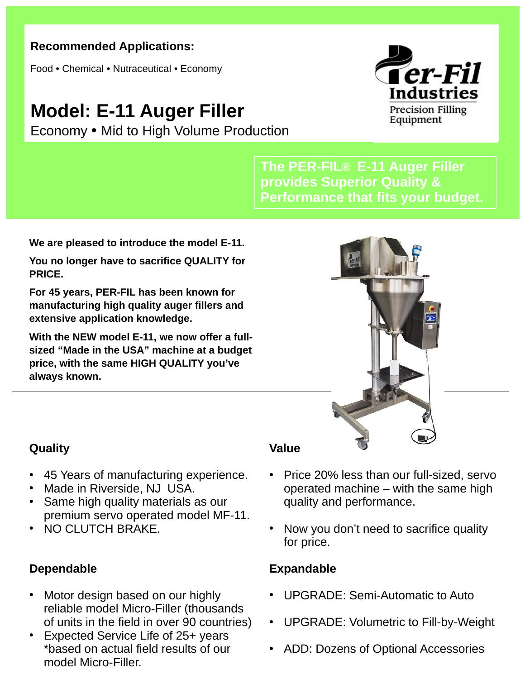## **Recommended Applications:**

Food • Chemical • Nutraceutical • Economy

## **Model: E-11 Auger Filler**

Economy • Mid to High Volume Production



**The PER-FIL® E-11 Auger Filler provides Superior Quality & Performance that fits your budget.**

**We are pleased to introduce the model E-11.**

**You no longer have to sacrifice QUALITY for PRICE.**

**For 45 years, PER-FIL has been known for manufacturing high quality auger fillers and extensive application knowledge.**

**With the NEW model E-11, we now offer a fullsized "Made in the USA" machine at a budget price, with the same HIGH QUALITY you've always known.**



## **Quality**

- 45 Years of manufacturing experience.
- Made in Riverside, NJ USA.
- Same high quality materials as our premium servo operated model MF-11.
- NO CLUTCH BRAKE.

## **Dependable**

- Motor design based on our highly reliable model Micro-Filler (thousands of units in the field in over 90 countries)
- Expected Service Life of 25+ years \*based on actual field results of our model Micro-Filler.

### **Value**

- Price 20% less than our full-sized, servo operated machine – with the same high quality and performance.
- Now you don't need to sacrifice quality for price.

## **Expandable**

- UPGRADE: Semi-Automatic to Auto
- UPGRADE: Volumetric to Fill-by-Weight
- ADD: Dozens of Optional Accessories